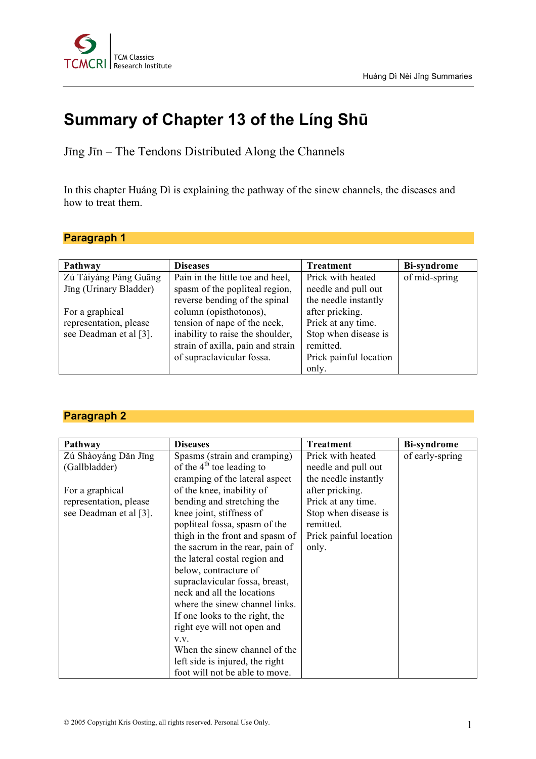

# **Summary of Chapter 13 of the Líng Shū**

Jīng Jīn – The Tendons Distributed Along the Channels

In this chapter Huáng Dì is explaining the pathway of the sinew channels, the diseases and how to treat them.

#### **Paragraph 1**

| Pathway                | <b>Diseases</b>                   | <b>Treatment</b>       | <b>Bi-syndrome</b> |
|------------------------|-----------------------------------|------------------------|--------------------|
| Zú Tàiyáng Páng Guāng  | Pain in the little toe and heel,  | Prick with heated      | of mid-spring      |
| Jīng (Urinary Bladder) | spasm of the popliteal region,    | needle and pull out    |                    |
|                        | reverse bending of the spinal     | the needle instantly   |                    |
| For a graphical        | column (opisthotonos),            | after pricking.        |                    |
| representation, please | tension of nape of the neck,      | Prick at any time.     |                    |
| see Deadman et al [3]. | inability to raise the shoulder,  | Stop when disease is   |                    |
|                        | strain of axilla, pain and strain | remitted.              |                    |
|                        | of supraclavicular fossa.         | Prick painful location |                    |
|                        |                                   | only.                  |                    |

#### **Paragraph 2**

| Pathway                | <b>Diseases</b>                 | Treatment              | <b>Bi-syndrome</b> |
|------------------------|---------------------------------|------------------------|--------------------|
| Zú Shàoyáng Dăn Jīng   | Spasms (strain and cramping)    | Prick with heated      | of early-spring    |
| (Gallbladder)          | of the $4th$ toe leading to     | needle and pull out    |                    |
|                        | cramping of the lateral aspect  | the needle instantly   |                    |
| For a graphical        | of the knee, inability of       | after pricking.        |                    |
| representation, please | bending and stretching the      | Prick at any time.     |                    |
| see Deadman et al [3]. | knee joint, stiffness of        | Stop when disease is   |                    |
|                        | popliteal fossa, spasm of the   | remitted.              |                    |
|                        | thigh in the front and spasm of | Prick painful location |                    |
|                        | the sacrum in the rear, pain of | only.                  |                    |
|                        | the lateral costal region and   |                        |                    |
|                        | below, contracture of           |                        |                    |
|                        | supraclavicular fossa, breast,  |                        |                    |
|                        | neck and all the locations      |                        |                    |
|                        | where the sinew channel links.  |                        |                    |
|                        | If one looks to the right, the  |                        |                    |
|                        | right eye will not open and     |                        |                    |
|                        | V.V.                            |                        |                    |
|                        | When the sinew channel of the   |                        |                    |
|                        | left side is injured, the right |                        |                    |
|                        | foot will not be able to move.  |                        |                    |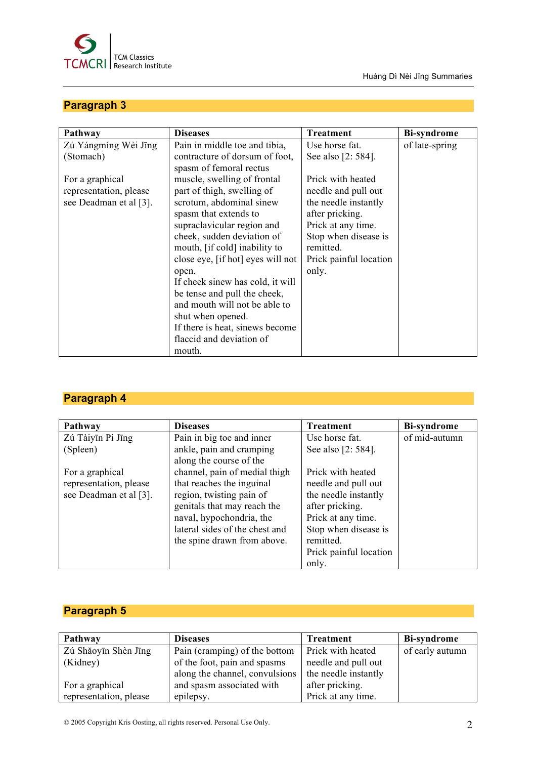

Huáng Dì Nèi Jīng Summaries

## **Paragraph 3**

| Pathway                | <b>Diseases</b>                   | <b>Treatment</b>       | <b>Bi-syndrome</b> |
|------------------------|-----------------------------------|------------------------|--------------------|
| Zú Yángmíng Wèi Jīng   | Pain in middle toe and tibia,     | Use horse fat.         | of late-spring     |
| (Stomach)              | contracture of dorsum of foot,    | See also [2: 584].     |                    |
|                        | spasm of femoral rectus           |                        |                    |
| For a graphical        | muscle, swelling of frontal       | Prick with heated      |                    |
| representation, please | part of thigh, swelling of        | needle and pull out    |                    |
| see Deadman et al [3]. | scrotum, abdominal sinew          | the needle instantly   |                    |
|                        | spasm that extends to             | after pricking.        |                    |
|                        | supraclavicular region and        | Prick at any time.     |                    |
|                        | cheek, sudden deviation of        | Stop when disease is   |                    |
|                        | mouth, [if cold] inability to     | remitted.              |                    |
|                        | close eye, [if hot] eyes will not | Prick painful location |                    |
|                        | open.                             | only.                  |                    |
|                        | If cheek sinew has cold, it will  |                        |                    |
|                        | be tense and pull the cheek,      |                        |                    |
|                        | and mouth will not be able to     |                        |                    |
|                        | shut when opened.                 |                        |                    |
|                        | If there is heat, sinews become   |                        |                    |
|                        | flaccid and deviation of          |                        |                    |
|                        | mouth.                            |                        |                    |

## **Paragraph 4**

| Pathway                | <b>Diseases</b>                | <b>Treatment</b>       | <b>Bi-syndrome</b> |
|------------------------|--------------------------------|------------------------|--------------------|
| Zú Tàiyīn Pí Jīng      | Pain in big toe and inner      | Use horse fat.         | of mid-autumn      |
| (Spleen)               | ankle, pain and cramping       | See also [2: 584].     |                    |
|                        | along the course of the        |                        |                    |
| For a graphical        | channel, pain of medial thigh  | Prick with heated      |                    |
| representation, please | that reaches the inguinal      | needle and pull out    |                    |
| see Deadman et al [3]. | region, twisting pain of       | the needle instantly   |                    |
|                        | genitals that may reach the    | after pricking.        |                    |
|                        | naval, hypochondria, the       | Prick at any time.     |                    |
|                        | lateral sides of the chest and | Stop when disease is   |                    |
|                        | the spine drawn from above.    | remitted.              |                    |
|                        |                                | Prick painful location |                    |
|                        |                                | only.                  |                    |

## **Paragraph 5**

| Pathway                | <b>Diseases</b>                | <b>Treatment</b>         | <b>Bi-syndrome</b> |
|------------------------|--------------------------------|--------------------------|--------------------|
| Zú Shăoyīn Shèn Jīng   | Pain (cramping) of the bottom  | <b>Prick with heated</b> | of early autumn    |
| (Kidney)               | of the foot, pain and spasms   | needle and pull out      |                    |
|                        | along the channel, convulsions | the needle instantly     |                    |
| For a graphical        | and spasm associated with      | after pricking.          |                    |
| representation, please | epilepsy.                      | Prick at any time.       |                    |

© 2005 Copyright Kris Oosting, all rights reserved. Personal Use Only. 2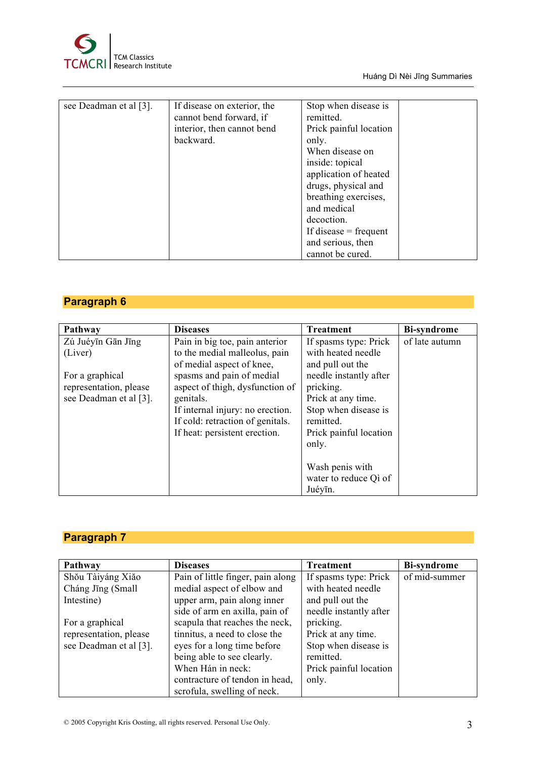

Huáng Dì Nèi Jīng Summaries

| see Deadman et al [3]. | If disease on exterior, the<br>cannot bend forward, if<br>interior, then cannot bend<br>backward. | Stop when disease is<br>remitted.<br>Prick painful location<br>only.<br>When disease on<br>inside: topical<br>application of heated<br>drugs, physical and<br>breathing exercises,<br>and medical<br>decoction. |
|------------------------|---------------------------------------------------------------------------------------------------|-----------------------------------------------------------------------------------------------------------------------------------------------------------------------------------------------------------------|
|                        |                                                                                                   |                                                                                                                                                                                                                 |
|                        |                                                                                                   | If disease $=$ frequent                                                                                                                                                                                         |
|                        |                                                                                                   | and serious, then                                                                                                                                                                                               |
|                        |                                                                                                   | cannot be cured.                                                                                                                                                                                                |

#### **Paragraph 6**

| Pathway                | <b>Diseases</b>                  | <b>Treatment</b>       | <b>Bi-syndrome</b> |
|------------------------|----------------------------------|------------------------|--------------------|
| Zú Juéyīn Gān Jīng     | Pain in big toe, pain anterior   | If spasms type: Prick  | of late autumn     |
| (Liver)                | to the medial malleolus, pain    | with heated needle     |                    |
|                        | of medial aspect of knee,        | and pull out the       |                    |
| For a graphical        | spasms and pain of medial        | needle instantly after |                    |
| representation, please | aspect of thigh, dysfunction of  | pricking.              |                    |
| see Deadman et al [3]. | genitals.                        | Prick at any time.     |                    |
|                        | If internal injury: no erection. | Stop when disease is   |                    |
|                        | If cold: retraction of genitals. | remitted.              |                    |
|                        | If heat: persistent erection.    | Prick painful location |                    |
|                        |                                  | only.                  |                    |
|                        |                                  |                        |                    |
|                        |                                  | Wash penis with        |                    |
|                        |                                  | water to reduce Qi of  |                    |
|                        |                                  | Juéyīn.                |                    |

## **Paragraph 7**

| Pathway                | <b>Diseases</b>                   | <b>Treatment</b>       | <b>Bi-syndrome</b> |
|------------------------|-----------------------------------|------------------------|--------------------|
| Shou Tàiyáng Xiăo      | Pain of little finger, pain along | If spasms type: Prick  | of mid-summer      |
| Cháng Jīng (Small      | medial aspect of elbow and        | with heated needle     |                    |
| Intestine)             | upper arm, pain along inner       | and pull out the       |                    |
|                        | side of arm en axilla, pain of    | needle instantly after |                    |
| For a graphical        | scapula that reaches the neck,    | pricking.              |                    |
| representation, please | tinnitus, a need to close the     | Prick at any time.     |                    |
| see Deadman et al [3]. | eyes for a long time before       | Stop when disease is   |                    |
|                        | being able to see clearly.        | remitted.              |                    |
|                        | When Hán in neck:                 | Prick painful location |                    |
|                        | contracture of tendon in head,    | only.                  |                    |
|                        | scrofula, swelling of neck.       |                        |                    |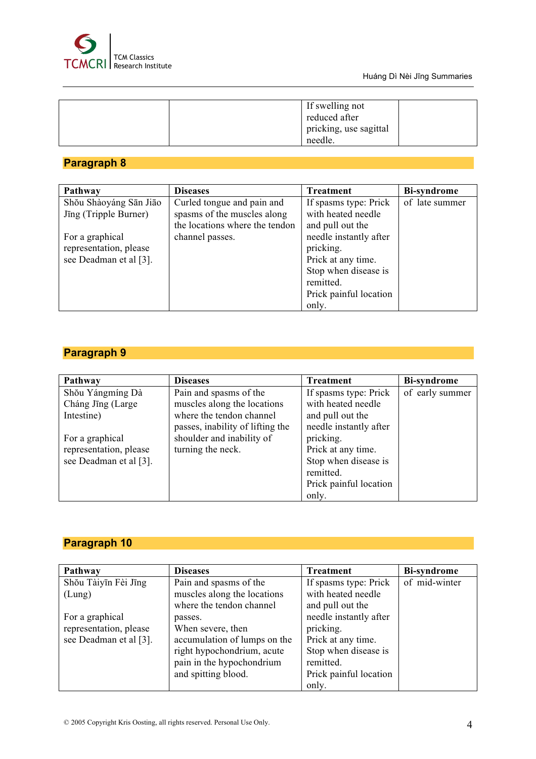

| If swelling not<br>reduced after<br>pricking, use sagittal<br>needle. |  |
|-----------------------------------------------------------------------|--|
|                                                                       |  |

### **Paragraph 8**

| Pathway                | <b>Diseases</b>                | Treatment              | <b>Bi-syndrome</b> |
|------------------------|--------------------------------|------------------------|--------------------|
| Shou Shàoyáng Sān Jiāo | Curled tongue and pain and     | If spasms type: Prick  | of late summer     |
| Jīng (Tripple Burner)  | spasms of the muscles along    | with heated needle     |                    |
|                        | the locations where the tendon | and pull out the       |                    |
| For a graphical        | channel passes.                | needle instantly after |                    |
| representation, please |                                | pricking.              |                    |
| see Deadman et al [3]. |                                | Prick at any time.     |                    |
|                        |                                | Stop when disease is   |                    |
|                        |                                | remitted.              |                    |
|                        |                                | Prick painful location |                    |
|                        |                                | only.                  |                    |

## **Paragraph 9**

| Pathway                | <b>Diseases</b>                  | <b>Treatment</b>       | <b>Bi-syndrome</b> |
|------------------------|----------------------------------|------------------------|--------------------|
| Shou Yángmíng Dà       | Pain and spasms of the           | If spasms type: Prick  | of early summer    |
| Cháng Jīng (Large      | muscles along the locations      | with heated needle     |                    |
| Intestine)             | where the tendon channel         | and pull out the       |                    |
|                        | passes, inability of lifting the | needle instantly after |                    |
| For a graphical        | shoulder and inability of        | pricking.              |                    |
| representation, please | turning the neck.                | Prick at any time.     |                    |
| see Deadman et al [3]. |                                  | Stop when disease is   |                    |
|                        |                                  | remitted.              |                    |
|                        |                                  | Prick painful location |                    |
|                        |                                  | only.                  |                    |

## **Paragraph 10**

| Pathway                | <b>Diseases</b>              | <b>Treatment</b>       | <b>Bi-syndrome</b> |
|------------------------|------------------------------|------------------------|--------------------|
| Shou Tàiyīn Fèi Jīng   | Pain and spasms of the       | If spasms type: Prick  | of mid-winter      |
| (Lung)                 | muscles along the locations  | with heated needle     |                    |
|                        | where the tendon channel     | and pull out the       |                    |
| For a graphical        | passes.                      | needle instantly after |                    |
| representation, please | When severe, then            | pricking.              |                    |
| see Deadman et al [3]. | accumulation of lumps on the | Prick at any time.     |                    |
|                        | right hypochondrium, acute   | Stop when disease is   |                    |
|                        | pain in the hypochondrium    | remitted.              |                    |
|                        | and spitting blood.          | Prick painful location |                    |
|                        |                              | only.                  |                    |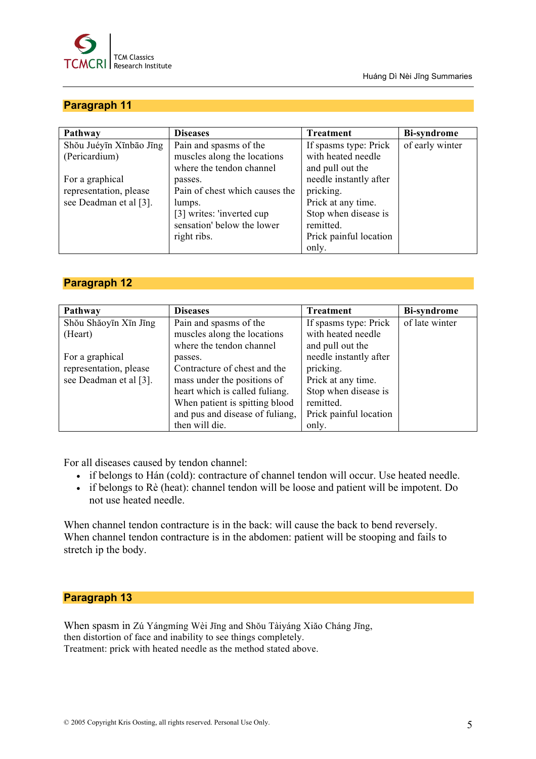

#### Huáng Dì Nèi Jīng Summaries

#### **Paragraph 11**

| Pathway                 | <b>Diseases</b>                | <b>Treatment</b>       | <b>Bi-syndrome</b> |
|-------------------------|--------------------------------|------------------------|--------------------|
| Shou Juéyīn Xīnbāo Jīng | Pain and spasms of the         | If spasms type: Prick  | of early winter    |
| (Pericardium)           | muscles along the locations    | with heated needle     |                    |
|                         | where the tendon channel       | and pull out the       |                    |
| For a graphical         | passes.                        | needle instantly after |                    |
| representation, please  | Pain of chest which causes the | pricking.              |                    |
| see Deadman et al [3].  | lumps.                         | Prick at any time.     |                    |
|                         | [3] writes: 'inverted cup      | Stop when disease is   |                    |
|                         | sensation' below the lower     | remitted.              |                    |
|                         | right ribs.                    | Prick painful location |                    |
|                         |                                | only.                  |                    |

#### **Paragraph 12**

| Pathway                | <b>Diseases</b>                 | <b>Treatment</b>       | <b>Bi-syndrome</b> |
|------------------------|---------------------------------|------------------------|--------------------|
| Shou Shăoyīn Xīn Jīng  | Pain and spasms of the          | If spasms type: Prick  | of late winter     |
| (Heart)                | muscles along the locations     | with heated needle     |                    |
|                        | where the tendon channel        | and pull out the       |                    |
| For a graphical        | passes.                         | needle instantly after |                    |
| representation, please | Contracture of chest and the    | pricking.              |                    |
| see Deadman et al [3]. | mass under the positions of     | Prick at any time.     |                    |
|                        | heart which is called fuliang.  | Stop when disease is   |                    |
|                        | When patient is spitting blood  | remitted.              |                    |
|                        | and pus and disease of fuliang, | Prick painful location |                    |
|                        | then will die.                  | only.                  |                    |

For all diseases caused by tendon channel:

- if belongs to Hán (cold): contracture of channel tendon will occur. Use heated needle.
- if belongs to Rè (heat): channel tendon will be loose and patient will be impotent. Do not use heated needle.

When channel tendon contracture is in the back: will cause the back to bend reversely. When channel tendon contracture is in the abdomen: patient will be stooping and fails to stretch ip the body.

#### **Paragraph 13**

When spasm in Zú Yángmíng Wèi Jīng and Shŏu Tàiyáng Xiăo Cháng Jīng, then distortion of face and inability to see things completely. Treatment: prick with heated needle as the method stated above.